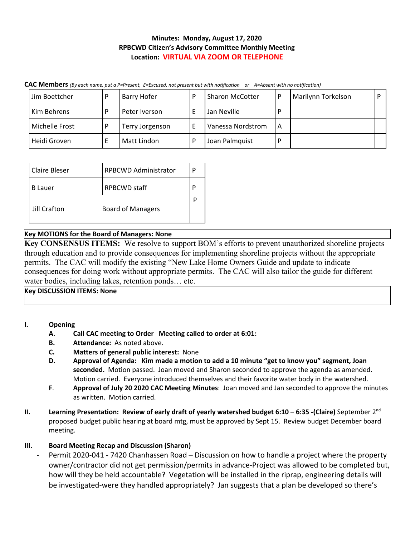## **Minutes: Monday, August 17, 2020 RPBCWD Citizen's Advisory Committee Monthly Meeting Location: VIRTUAL VIA ZOOM OR TELEPHONE**

| Jim Boettcher  | Barry Hofer     | D | <b>Sharon McCotter</b> |   | Marilynn Torkelson |  |
|----------------|-----------------|---|------------------------|---|--------------------|--|
| Kim Behrens    | Peter Iverson   |   | Jan Neville            |   |                    |  |
| Michelle Frost | Terry Jorgenson |   | Vanessa Nordstrom      | А |                    |  |
| Heidi Groven   | Matt Lindon     |   | Joan Palmquist         |   |                    |  |

| Claire Bleser       | <b>RPBCWD Administrator</b> |  |  |
|---------------------|-----------------------------|--|--|
| B Lauer             | <b>RPBCWD</b> staff         |  |  |
| <b>Jill Crafton</b> | <b>Board of Managers</b>    |  |  |

### **Key MOTIONS for the Board of Managers: None**

**Key CONSENSUS ITEMS:** We resolve to support BOM's efforts to prevent unauthorized shoreline projects through education and to provide consequences for implementing shoreline projects without the appropriate permits. The CAC will modify the existing "New Lake Home Owners Guide and update to indicate consequences for doing work without appropriate permits. The CAC will also tailor the guide for different water bodies, including lakes, retention ponds… etc.

**Key DISCUSSION ITEMS: None**

### **I. Opening**

- **A. Call CAC meeting to Order Meeting called to order at 6:01:**
- **B. Attendance:** As noted above.
- **C. Matters of general public interest:** None
- **D. Approval of Agenda: Kim made a motion to add a 10 minute "get to know you" segment, Joan seconded.** Motion passed. Joan moved and Sharon seconded to approve the agenda as amended. Motion carried. Everyone introduced themselves and their favorite water body in the watershed.
- **F**. **Approval of July 20 2020 CAC Meeting Minutes**: Joan moved and Jan seconded to approve the minutes as written. Motion carried.
- **II. Learning Presentation: Review of early draft of yearly watershed budget 6:10 – 6:35 -(Claire)** September 2 nd proposed budget public hearing at board mtg, must be approved by Sept 15. Review budget December board meeting.

### **III. Board Meeting Recap and Discussion (Sharon)**

Permit 2020-041 - 7420 Chanhassen Road – Discussion on how to handle a project where the property owner/contractor did not get permission/permits in advance-Project was allowed to be completed but, how will they be held accountable? Vegetation will be installed in the riprap, engineering details will be investigated-were they handled appropriately? Jan suggests that a plan be developed so there's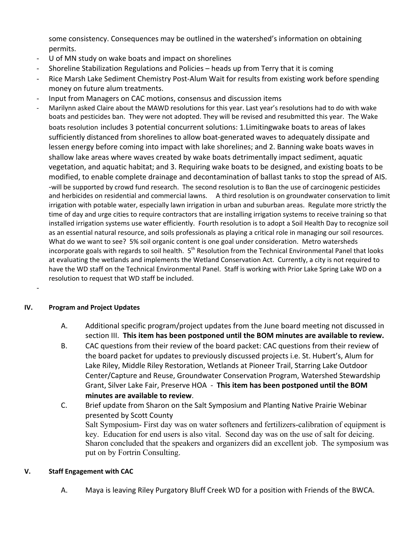some consistency. Consequences may be outlined in the watershed's information on obtaining permits.

- U of MN study on wake boats and impact on shorelines
- Shoreline Stabilization Regulations and Policies heads up from Terry that it is coming
- Rice Marsh Lake Sediment Chemistry Post-Alum Wait for results from existing work before spending money on future alum treatments.
- Input from Managers on CAC motions, consensus and discussion items
- Marilynn asked Claire about the MAWD resolutions for this year. Last year's resolutions had to do with wake boats and pesticides ban. They were not adopted. They will be revised and resubmitted this year. The Wake boats resolution includes 3 potential concurrent solutions: 1.Limitingwake boats to areas of lakes sufficiently distanced from shorelines to allow boat-generated waves to adequately dissipate and lessen energy before coming into impact with lake shorelines; and 2. Banning wake boats waves in shallow lake areas where waves created by wake boats detrimentally impact sediment, aquatic vegetation, and aquatic habitat; and 3. Requiring wake boats to be designed, and existing boats to be modified, to enable complete drainage and decontamination of ballast tanks to stop the spread of AIS. -will be supported by crowd fund research. The second resolution is to Ban the use of carcinogenic pesticides and herbicides on residential and commercial lawns. A third resolution is on groundwater conservation to limit irrigation with potable water, especially lawn irrigation in urban and suburban areas. Regulate more strictly the time of day and urge cities to require contractors that are installing irrigation systems to receive training so that installed irrigation systems use water efficiently. Fourth resolution is to adopt a Soil Health Day to recognize soil as an essential natural resource, and soils professionals as playing a critical role in managing our soil resources. What do we want to see? 5% soil organic content is one goal under consideration. Metro watersheds incorporate goals with regards to soil health. S<sup>th</sup> Resolution from the Technical Environmental Panel that looks at evaluating the wetlands and implements the Wetland Conservation Act. Currently, a city is not required to have the WD staff on the Technical Environmental Panel. Staff is working with Prior Lake Spring Lake WD on a resolution to request that WD staff be included.

### **IV. Program and Project Updates**

-

- A. Additional specific program/project updates from the June board meeting not discussed in section III. **This item has been postponed until the BOM minutes are available to review.**
- B. CAC questions from their review of the board packet: CAC questions from their review of the board packet for updates to previously discussed projects i.e. St. Hubert's, Alum for Lake Riley, Middle Riley Restoration, Wetlands at Pioneer Trail, Starring Lake Outdoor Center/Capture and Reuse, Groundwater Conservation Program, Watershed Stewardship Grant, Silver Lake Fair, Preserve HOA - **This item has been postponed until the BOM minutes are available to review**.
- C. Brief update from Sharon on the Salt Symposium and Planting Native Prairie Webinar presented by Scott County Salt Symposium- First day was on water softeners and fertilizers-calibration of equipment is key. Education for end users is also vital. Second day was on the use of salt for deicing. Sharon concluded that the speakers and organizers did an excellent job. The symposium was put on by Fortrin Consulting.

### **V. Staff Engagement with CAC**

A. Maya is leaving Riley Purgatory Bluff Creek WD for a position with Friends of the BWCA.